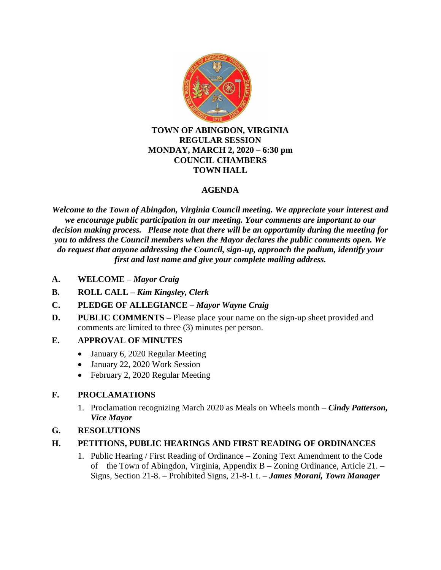

### **TOWN OF ABINGDON, VIRGINIA REGULAR SESSION MONDAY, MARCH 2, 2020 – 6:30 pm COUNCIL CHAMBERS TOWN HALL**

# **AGENDA**

*Welcome to the Town of Abingdon, Virginia Council meeting. We appreciate your interest and we encourage public participation in our meeting. Your comments are important to our decision making process. Please note that there will be an opportunity during the meeting for you to address the Council members when the Mayor declares the public comments open. We do request that anyone addressing the Council, sign-up, approach the podium, identify your first and last name and give your complete mailing address.*

- **A. WELCOME –** *Mayor Craig*
- **B. ROLL CALL –** *Kim Kingsley, Clerk*
- **C. PLEDGE OF ALLEGIANCE –** *Mayor Wayne Craig*
- **D.** PUBLIC COMMENTS Please place your name on the sign-up sheet provided and comments are limited to three (3) minutes per person.

# **E. APPROVAL OF MINUTES**

- January 6, 2020 Regular Meeting
- January 22, 2020 Work Session
- February 2, 2020 Regular Meeting

# **F. PROCLAMATIONS**

1. Proclamation recognizing March 2020 as Meals on Wheels month – *Cindy Patterson, Vice Mayor*

# **G. RESOLUTIONS**

- **H. PETITIONS, PUBLIC HEARINGS AND FIRST READING OF ORDINANCES**
	- 1. Public Hearing / First Reading of Ordinance Zoning Text Amendment to the Code of the Town of Abingdon, Virginia, Appendix B – Zoning Ordinance, Article 21. – Signs, Section 21-8. – Prohibited Signs, 21-8-1 t. – *James Morani, Town Manager*